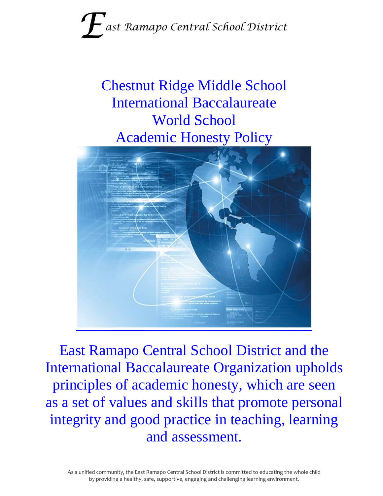# ast Ramapo Central School District

Chestnut Ridge Middle School International Baccalaureate World School Academic Honesty Policy



East Ramapo Central School District and the International Baccalaureate Organization upholds principles of academic honesty, which are seen as a set of values and skills that promote personal integrity and good practice in teaching, learning and assessment.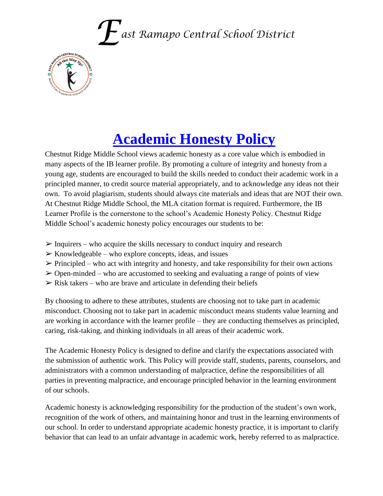### $\boldsymbol{\mathcal{F}}$ ast Ramapo Central School District



### **Academic Honesty Policy**

Chestnut Ridge Middle School views academic honesty as a core value which is embodied in many aspects of the IB learner profile. By promoting a culture of integrity and honesty from a young age, students are encouraged to build the skills needed to conduct their academic work in a principled manner, to credit source material appropriately, and to acknowledge any ideas not their own. To avoid plagiarism, students should always cite materials and ideas that are NOT their own. At Chestnut Ridge Middle School, the MLA citation format is required. Furthermore, the IB Learner Profile is the cornerstone to the school's Academic Honesty Policy. Chestnut Ridge Middle School's academic honesty policy encourages our students to be:

- $\triangleright$  Inquirers who acquire the skills necessary to conduct inquiry and research
- $\triangleright$  Knowledgeable who explore concepts, ideas, and issues
- $\triangleright$  Principled who act with integrity and honesty, and take responsibility for their own actions
- $\geq$  Open-minded who are accustomed to seeking and evaluating a range of points of view
- $\triangleright$  Risk takers who are brave and articulate in defending their beliefs

By choosing to adhere to these attributes, students are choosing not to take part in academic misconduct. Choosing not to take part in academic misconduct means students value learning and are working in accordance with the learner profile – they are conducting themselves as principled, caring, risk-taking, and thinking individuals in all areas of their academic work.

The Academic Honesty Policy is designed to define and clarify the expectations associated with the submission of authentic work. This Policy will provide staff, students, parents, counselors, and administrators with a common understanding of malpractice, define the responsibilities of all parties in preventing malpractice, and encourage principled behavior in the learning environment of our schools.

Academic honesty is acknowledging responsibility for the production of the student's own work, recognition of the work of others, and maintaining honor and trust in the learning environments of our school. In order to understand appropriate academic honesty practice, it is important to clarify behavior that can lead to an unfair advantage in academic work, hereby referred to as malpractice.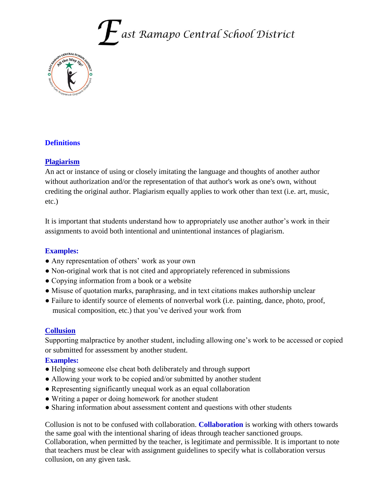



#### **Definitions**

#### **Plagiarism**

An act or instance of using or closely imitating the language and thoughts of another author without authorization and/or the representation of that author's work as one's own, without crediting the original author. Plagiarism equally applies to work other than text (i.e. art, music, etc.)

It is important that students understand how to appropriately use another author's work in their assignments to avoid both intentional and unintentional instances of plagiarism.

#### **Examples:**

- Any representation of others' work as your own
- Non-original work that is not cited and appropriately referenced in submissions
- Copying information from a book or a website
- Misuse of quotation marks, paraphrasing, and in text citations makes authorship unclear
- Failure to identify source of elements of nonverbal work (i.e. painting, dance, photo, proof, musical composition, etc.) that you've derived your work from

#### **Collusion**

Supporting malpractice by another student, including allowing one's work to be accessed or copied or submitted for assessment by another student.

#### **Examples:**

- Helping someone else cheat both deliberately and through support
- Allowing your work to be copied and/or submitted by another student
- Representing significantly unequal work as an equal collaboration
- Writing a paper or doing homework for another student
- Sharing information about assessment content and questions with other students

Collusion is not to be confused with collaboration. **Collaboration** is working with others towards the same goal with the intentional sharing of ideas through teacher sanctioned groups. Collaboration, when permitted by the teacher, is legitimate and permissible. It is important to note that teachers must be clear with assignment guidelines to specify what is collaboration versus collusion, on any given task.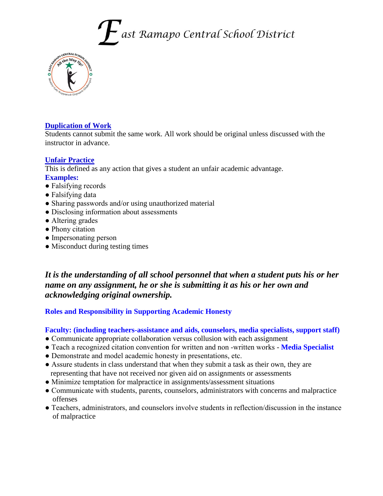



#### **Duplication of Work**

Students cannot submit the same work. All work should be original unless discussed with the instructor in advance.

#### **Unfair Practice**

This is defined as any action that gives a student an unfair academic advantage.

- **Examples:**
- Falsifying records
- Falsifying data
- Sharing passwords and/or using unauthorized material
- Disclosing information about assessments
- Altering grades
- Phony citation
- Impersonating person
- Misconduct during testing times

#### *It is the understanding of all school personnel that when a student puts his or her name on any assignment, he or she is submitting it as his or her own and acknowledging original ownership.*

#### **Roles and Responsibility in Supporting Academic Honesty**

#### **Faculty: (including teachers-assistance and aids, counselors, media specialists, support staff)**

- Communicate appropriate collaboration versus collusion with each assignment
- Teach a recognized citation convention for written and non -written works **Media Specialist**
- Demonstrate and model academic honesty in presentations, etc.
- Assure students in class understand that when they submit a task as their own, they are representing that have not received nor given aid on assignments or assessments
- Minimize temptation for malpractice in assignments/assessment situations
- Communicate with students, parents, counselors, administrators with concerns and malpractice offenses
- Teachers, administrators, and counselors involve students in reflection/discussion in the instance of malpractice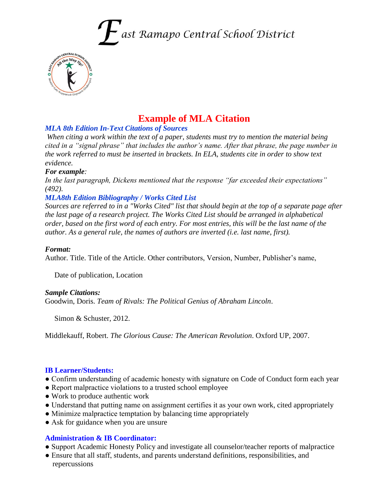## ast Ramapo Central School District



#### **Example of MLA Citation**

#### *MLA 8th Edition In-Text Citations of Sources*

*When citing a work within the text of a paper, students must try to mention the material being cited in a "signal phrase" that includes the author's name. After that phrase, the page number in the work referred to must be inserted in brackets. In ELA, students cite in order to show text evidence.*

#### *For example:*

*In the last paragraph, Dickens mentioned that the response "far exceeded their expectations" (492).* 

#### *MLA8th Edition Bibliography / Works Cited List*

*Sources are referred to in a "Works Cited" list that should begin at the top of a separate page after the last page of a research project. The Works Cited List should be arranged in alphabetical order, based on the first word of each entry. For most entries, this will be the last name of the author. As a general rule, the names of authors are inverted (i.e. last name, first).* 

#### *Format:*

Author. Title. Title of the Article. Other contributors, Version, Number, Publisher's name,

Date of publication, Location

#### *Sample Citations:*

Goodwin, Doris. *Team of Rivals: The Political Genius of Abraham Lincoln*.

Simon & Schuster, 2012.

Middlekauff, Robert. *The Glorious Cause: The American Revolution*. Oxford UP, 2007.

#### **IB Learner/Students:**

- Confirm understanding of academic honesty with signature on Code of Conduct form each year
- Report malpractice violations to a trusted school employee
- Work to produce authentic work
- Understand that putting name on assignment certifies it as your own work, cited appropriately
- Minimize malpractice temptation by balancing time appropriately
- Ask for guidance when you are unsure

#### **Administration & IB Coordinator:**

- Support Academic Honesty Policy and investigate all counselor/teacher reports of malpractice
- Ensure that all staff, students, and parents understand definitions, responsibilities, and repercussions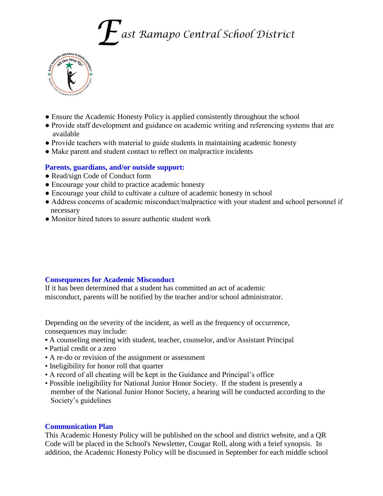### ast Ramapo Central School District



- Ensure the Academic Honesty Policy is applied consistently throughout the school
- Provide staff development and guidance on academic writing and referencing systems that are available
- Provide teachers with material to guide students in maintaining academic honesty
- Make parent and student contact to reflect on malpractice incidents

#### **Parents, guardians, and/or outside support:**

- Read/sign Code of Conduct form
- Encourage your child to practice academic honesty
- Encourage your child to cultivate a culture of academic honesty in school
- Address concerns of academic misconduct/malpractice with your student and school personnel if necessary
- Monitor hired tutors to assure authentic student work

#### **Consequences for Academic Misconduct**

If it has been determined that a student has committed an act of academic misconduct, parents will be notified by the teacher and/or school administrator.

Depending on the severity of the incident, as well as the frequency of occurrence, consequences may include:

- A counseling meeting with student, teacher, counselor, and/or Assistant Principal
- **•** Partial credit or a zero
- A re-do or revision of the assignment or assessment
- Ineligibility for honor roll that quarter
- A record of all cheating will be kept in the Guidance and Principal's office
- Possible ineligibility for National Junior Honor Society. If the student is presently a member of the National Junior Honor Society, a hearing will be conducted according to the Society's guidelines

#### **Communication Plan**

This Academic Honesty Policy will be published on the school and district website, and a QR Code will be placed in the School's Newsletter, Cougar Roll, along with a brief synopsis. In addition, the Academic Honesty Policy will be discussed in September for each middle school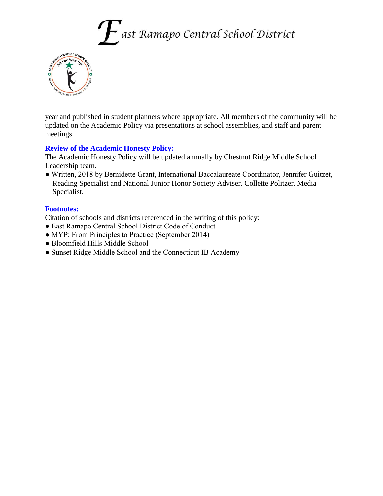



year and published in student planners where appropriate. All members of the community will be updated on the Academic Policy via presentations at school assemblies, and staff and parent meetings.

#### **Review of the Academic Honesty Policy:**

The Academic Honesty Policy will be updated annually by Chestnut Ridge Middle School Leadership team.

● Written, 2018 by Bernidette Grant, International Baccalaureate Coordinator, Jennifer Guitzet, Reading Specialist and National Junior Honor Society Adviser, Collette Politzer, Media Specialist.

#### **Footnotes:**

Citation of schools and districts referenced in the writing of this policy:

- East Ramapo Central School District Code of Conduct
- MYP: From Principles to Practice (September 2014)
- Bloomfield Hills Middle School
- Sunset Ridge Middle School and the Connecticut IB Academy